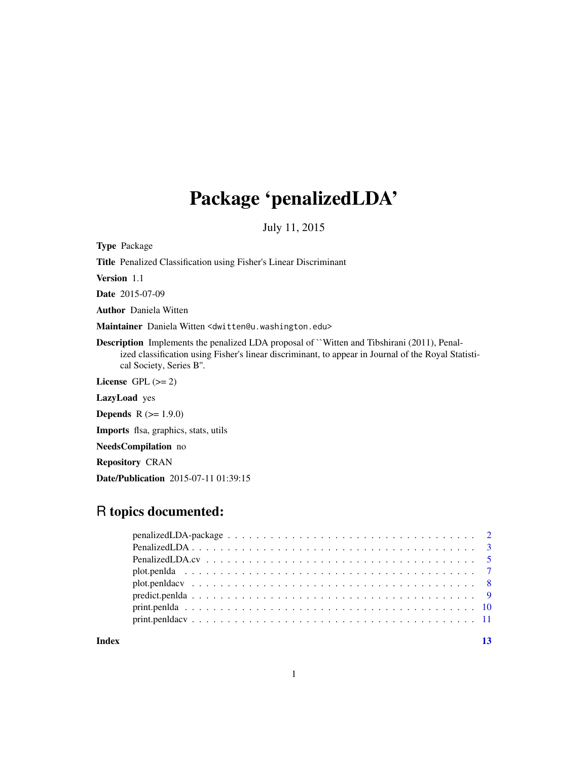## Package 'penalizedLDA'

July 11, 2015

Type Package

Title Penalized Classification using Fisher's Linear Discriminant

Version 1.1

Date 2015-07-09

Author Daniela Witten

Maintainer Daniela Witten <dwitten@u.washington.edu>

Description Implements the penalized LDA proposal of ``Witten and Tibshirani (2011), Penalized classification using Fisher's linear discriminant, to appear in Journal of the Royal Statistical Society, Series B''.

License GPL  $(>= 2)$ 

LazyLoad yes

**Depends**  $R (= 1.9.0)$ 

Imports flsa, graphics, stats, utils

NeedsCompilation no

Repository CRAN

Date/Publication 2015-07-11 01:39:15

### R topics documented:

**Index** [13](#page-12-0)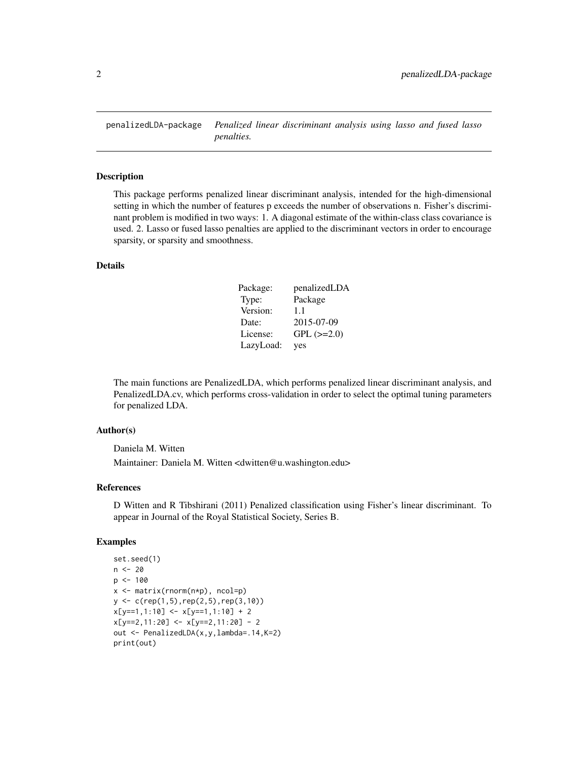<span id="page-1-0"></span>

#### Description

This package performs penalized linear discriminant analysis, intended for the high-dimensional setting in which the number of features p exceeds the number of observations n. Fisher's discriminant problem is modified in two ways: 1. A diagonal estimate of the within-class class covariance is used. 2. Lasso or fused lasso penalties are applied to the discriminant vectors in order to encourage sparsity, or sparsity and smoothness.

#### Details

| Package:  | penalizedLDA    |
|-----------|-----------------|
| Type:     | Package         |
| Version:  | 1.1             |
| Date:     | 2015-07-09      |
| License:  | $GPL$ $(>=2.0)$ |
| LazyLoad: | yes             |

The main functions are PenalizedLDA, which performs penalized linear discriminant analysis, and PenalizedLDA.cv, which performs cross-validation in order to select the optimal tuning parameters for penalized LDA.

#### Author(s)

Daniela M. Witten

Maintainer: Daniela M. Witten <dwitten@u.washington.edu>

#### References

D Witten and R Tibshirani (2011) Penalized classification using Fisher's linear discriminant. To appear in Journal of the Royal Statistical Society, Series B.

```
set.seed(1)
n <- 20
p \le -100x <- matrix(rnorm(n*p), ncol=p)
y <- c(rep(1,5),rep(2,5),rep(3,10))
x[y==1,1:10] < x[y==1,1:10] + 2x[y==2,11:20] <- x[y==2,11:20] - 2
out <- PenalizedLDA(x,y,lambda=.14,K=2)
print(out)
```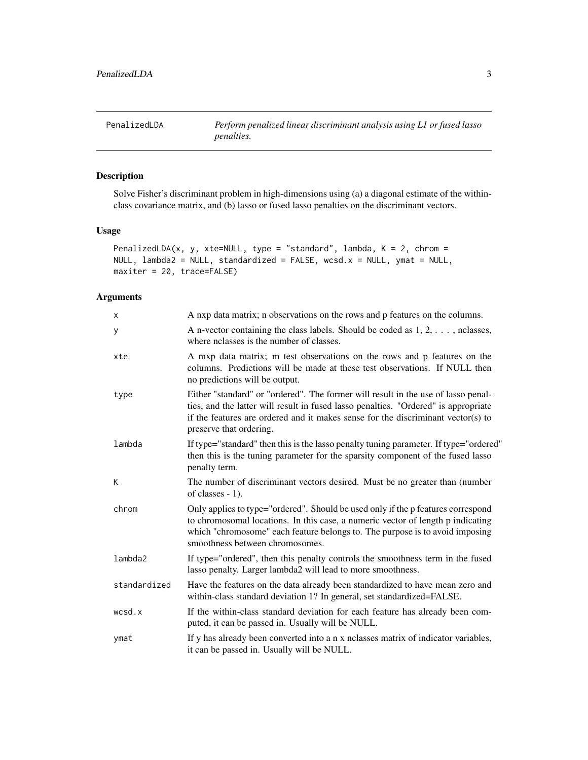<span id="page-2-0"></span>PenalizedLDA *Perform penalized linear discriminant analysis using L1 or fused lasso penalties.*

#### Description

Solve Fisher's discriminant problem in high-dimensions using (a) a diagonal estimate of the withinclass covariance matrix, and (b) lasso or fused lasso penalties on the discriminant vectors.

#### Usage

```
PenalizedLDA(x, y, xte=NULL, type = "standard", lambda, K = 2, chrom =
NULL, lambda2 = NULL, standardized = FALSE, wcsd.x = NULL, ymat = NULL,
maxiter = 20, trace=FALSE)
```
#### Arguments

| x            | A nxp data matrix; n observations on the rows and p features on the columns.                                                                                                                                                                                                            |
|--------------|-----------------------------------------------------------------------------------------------------------------------------------------------------------------------------------------------------------------------------------------------------------------------------------------|
| У            | A n-vector containing the class labels. Should be coded as $1, 2, \ldots$ , nclasses,<br>where nclasses is the number of classes.                                                                                                                                                       |
| xte          | A mxp data matrix; m test observations on the rows and p features on the<br>columns. Predictions will be made at these test observations. If NULL then<br>no predictions will be output.                                                                                                |
| type         | Either "standard" or "ordered". The former will result in the use of lasso penal-<br>ties, and the latter will result in fused lasso penalties. "Ordered" is appropriate<br>if the features are ordered and it makes sense for the discriminant vector(s) to<br>preserve that ordering. |
| lambda       | If type="standard" then this is the lasso penalty tuning parameter. If type="ordered"<br>then this is the tuning parameter for the sparsity component of the fused lasso<br>penalty term.                                                                                               |
| K            | The number of discriminant vectors desired. Must be no greater than (number<br>of classes $-1$ ).                                                                                                                                                                                       |
| chrom        | Only applies to type="ordered". Should be used only if the p features correspond<br>to chromosomal locations. In this case, a numeric vector of length p indicating<br>which "chromosome" each feature belongs to. The purpose is to avoid imposing<br>smoothness between chromosomes.  |
| lambda2      | If type="ordered", then this penalty controls the smoothness term in the fused<br>lasso penalty. Larger lambda2 will lead to more smoothness.                                                                                                                                           |
| standardized | Have the features on the data already been standardized to have mean zero and<br>within-class standard deviation 1? In general, set standardized=FALSE.                                                                                                                                 |
| wcsd.x       | If the within-class standard deviation for each feature has already been com-<br>puted, it can be passed in. Usually will be NULL.                                                                                                                                                      |
| ymat         | If y has already been converted into a n x nclasses matrix of indicator variables,<br>it can be passed in. Usually will be NULL.                                                                                                                                                        |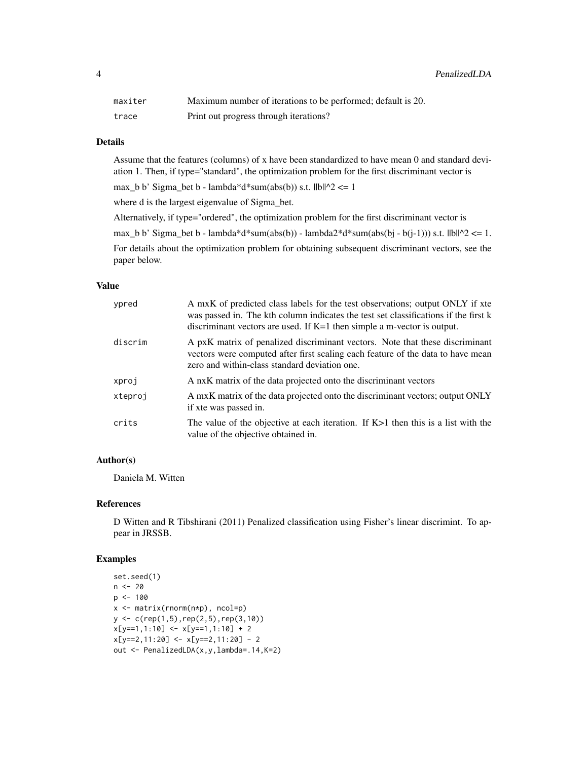4 PenalizedLDA

| maxiter | Maximum number of iterations to be performed; default is 20. |
|---------|--------------------------------------------------------------|
| trace   | Print out progress through iterations?                       |

#### Details

Assume that the features (columns) of x have been standardized to have mean 0 and standard deviation 1. Then, if type="standard", the optimization problem for the first discriminant vector is

max\_b b' Sigma\_bet b - lambda\*d\*sum(abs(b)) s.t.  $||b||^2 \le 1$ 

where d is the largest eigenvalue of Sigma\_bet.

Alternatively, if type="ordered", the optimization problem for the first discriminant vector is

max\_b b' Sigma\_bet b - lambda\*d\*sum(abs(b)) - lambda2\*d\*sum(abs(bj - b(j-1))) s.t.  $\text{IIbl}^2 \leq 1$ .

For details about the optimization problem for obtaining subsequent discriminant vectors, see the paper below.

#### Value

| ypred   | A mxK of predicted class labels for the test observations; output ONLY if xte<br>was passed in. The kth column indicates the test set classifications if the first k<br>discriminant vectors are used. If $K=1$ then simple a m-vector is output. |
|---------|---------------------------------------------------------------------------------------------------------------------------------------------------------------------------------------------------------------------------------------------------|
| discrim | A pxK matrix of penalized discriminant vectors. Note that these discriminant<br>vectors were computed after first scaling each feature of the data to have mean<br>zero and within-class standard deviation one.                                  |
| xproj   | A nxK matrix of the data projected onto the discriminant vectors                                                                                                                                                                                  |
| xteproj | A mxK matrix of the data projected onto the discriminant vectors; output ONLY<br>if xte was passed in.                                                                                                                                            |
| crits   | The value of the objective at each iteration. If $K>1$ then this is a list with the<br>value of the objective obtained in.                                                                                                                        |

#### Author(s)

Daniela M. Witten

#### References

D Witten and R Tibshirani (2011) Penalized classification using Fisher's linear discrimint. To appear in JRSSB.

```
set.seed(1)
n <- 20
p <- 100
x <- matrix(rnorm(n*p), ncol=p)
y \leq c (rep(1,5),rep(2,5),rep(3,10))
x[y==1,1:10] <- x[y==1,1:10] + 2
x[y==2, 11:20] < -x[y==2, 11:20] - 2out <- PenalizedLDA(x,y,lambda=.14,K=2)
```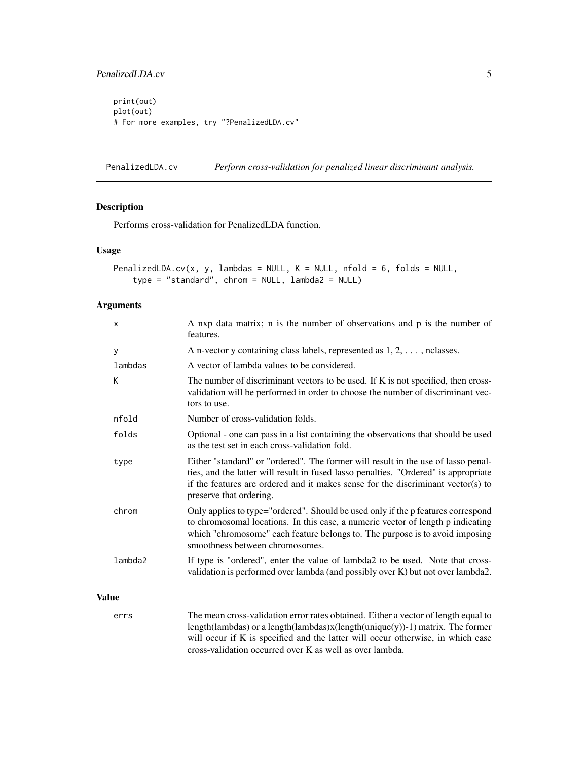#### <span id="page-4-0"></span>PenalizedLDA.cv 5

print(out) plot(out) # For more examples, try "?PenalizedLDA.cv"

PenalizedLDA.cv *Perform cross-validation for penalized linear discriminant analysis.*

#### Description

Performs cross-validation for PenalizedLDA function.

#### Usage

```
PenalizedLDA.cv(x, y, lambdas = NULL, K = NULL, nfold = 6, folds = NULL,
    type = "standard", chrom = NULL, lambda2 = NULL)
```
#### Arguments

| X            | A nxp data matrix; n is the number of observations and p is the number of<br>features.                                                                                                                                                                                                  |
|--------------|-----------------------------------------------------------------------------------------------------------------------------------------------------------------------------------------------------------------------------------------------------------------------------------------|
| у            | A n-vector y containing class labels, represented as $1, 2, \ldots$ , nclasses.                                                                                                                                                                                                         |
| lambdas      | A vector of lambda values to be considered.                                                                                                                                                                                                                                             |
| K            | The number of discriminant vectors to be used. If K is not specified, then cross-<br>validation will be performed in order to choose the number of discriminant vec-<br>tors to use.                                                                                                    |
| nfold        | Number of cross-validation folds.                                                                                                                                                                                                                                                       |
| folds        | Optional - one can pass in a list containing the observations that should be used<br>as the test set in each cross-validation fold.                                                                                                                                                     |
| type         | Either "standard" or "ordered". The former will result in the use of lasso penal-<br>ties, and the latter will result in fused lasso penalties. "Ordered" is appropriate<br>if the features are ordered and it makes sense for the discriminant vector(s) to<br>preserve that ordering. |
| chrom        | Only applies to type="ordered". Should be used only if the p features correspond<br>to chromosomal locations. In this case, a numeric vector of length p indicating<br>which "chromosome" each feature belongs to. The purpose is to avoid imposing<br>smoothness between chromosomes.  |
| lambda2      | If type is "ordered", enter the value of lambda2 to be used. Note that cross-<br>validation is performed over lambda (and possibly over K) but not over lambda2.                                                                                                                        |
| <b>Value</b> |                                                                                                                                                                                                                                                                                         |
| errs         | The mean cross-validation error rates obtained. Either a vector of length equal to<br>$\frac{1}{2}$                                                                                                                                                                                     |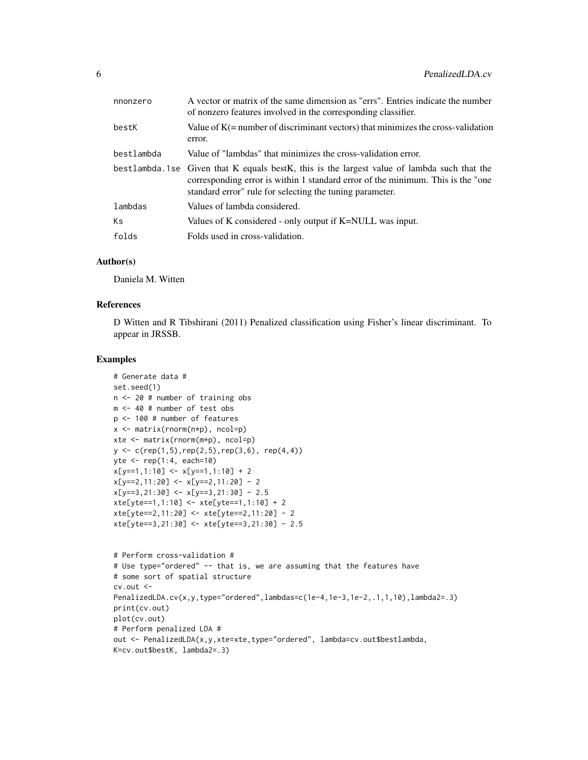| nnonzero   | A vector or matrix of the same dimension as "errs". Entries indicate the number<br>of nonzero features involved in the corresponding classifier.                                                                                            |
|------------|---------------------------------------------------------------------------------------------------------------------------------------------------------------------------------------------------------------------------------------------|
| bestK      | Value of $K(=$ number of discriminant vectors) that minimizes the cross-validation<br>error.                                                                                                                                                |
| bestlambda | Value of "lambdas" that minimizes the cross-validation error.                                                                                                                                                                               |
|            | bestlambda.1se Given that K equals bestK, this is the largest value of lambda such that the<br>corresponding error is within 1 standard error of the minimum. This is the "one"<br>standard error" rule for selecting the tuning parameter. |
| lambdas    | Values of lambda considered.                                                                                                                                                                                                                |
| Кs         | Values of K considered - only output if K=NULL was input.                                                                                                                                                                                   |
| folds      | Folds used in cross-validation.                                                                                                                                                                                                             |

#### Author(s)

Daniela M. Witten

#### References

D Witten and R Tibshirani (2011) Penalized classification using Fisher's linear discriminant. To appear in JRSSB.

```
# Generate data #
set.seed(1)
n <- 20 # number of training obs
m <- 40 # number of test obs
p <- 100 # number of features
x <- matrix(rnorm(n*p), ncol=p)
xte <- matrix(rnorm(m*p), ncol=p)
y \leq c (rep(1,5),rep(2,5),rep(3,6), rep(4,4))
yte <- rep(1:4, each=10)
x[y==1,1:10] < -x[y==1,1:10] + 2x[y==2,11:20] <- x[y==2,11:20] - 2
x[y==3,21:30] <- x[y==3,21:30] - 2.5
xte[yte==1,1:10] <- xte[yte==1,1:10] + 2
xte[yte==2,11:20] <- xte[yte==2,11:20] - 2
xte[yte==3,21:30] <- xte[yte==3,21:30] - 2.5
```

```
# Perform cross-validation #
# Use type="ordered" -- that is, we are assuming that the features have
# some sort of spatial structure
cv.out <-
PenalizedLDA.cv(x,y,type="ordered",lambdas=c(1e-4,1e-3,1e-2,.1,1,10),lambda2=.3)
print(cv.out)
plot(cv.out)
# Perform penalized LDA #
out <- PenalizedLDA(x,y,xte=xte,type="ordered", lambda=cv.out$bestlambda,
K=cv.out$bestK, lambda2=.3)
```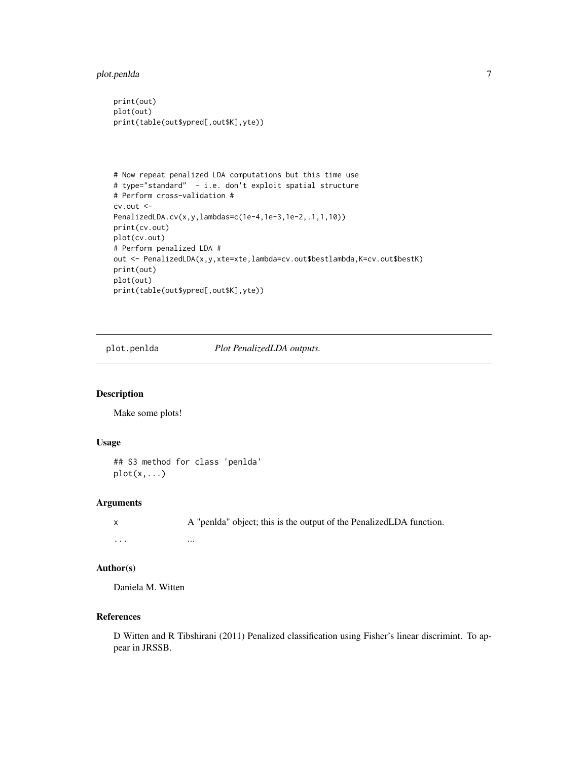<span id="page-6-0"></span>plot.penlda 7

```
print(out)
plot(out)
print(table(out$ypred[,out$K],yte))
```

```
# Now repeat penalized LDA computations but this time use
# type="standard" - i.e. don't exploit spatial structure
# Perform cross-validation #
cv.out <-
PenalizedLDA.cv(x,y,lambdas=c(1e-4,1e-3,1e-2,.1,1,10))
print(cv.out)
plot(cv.out)
# Perform penalized LDA #
out <- PenalizedLDA(x,y,xte=xte,lambda=cv.out$bestlambda,K=cv.out$bestK)
print(out)
plot(out)
print(table(out$ypred[,out$K],yte))
```
plot.penlda *Plot PenalizedLDA outputs.*

#### Description

Make some plots!

#### Usage

```
## S3 method for class 'penlda'
plot(x,...)
```
#### Arguments

x A "penlda" object; this is the output of the PenalizedLDA function. ... ...

#### Author(s)

Daniela M. Witten

#### References

D Witten and R Tibshirani (2011) Penalized classification using Fisher's linear discrimint. To appear in JRSSB.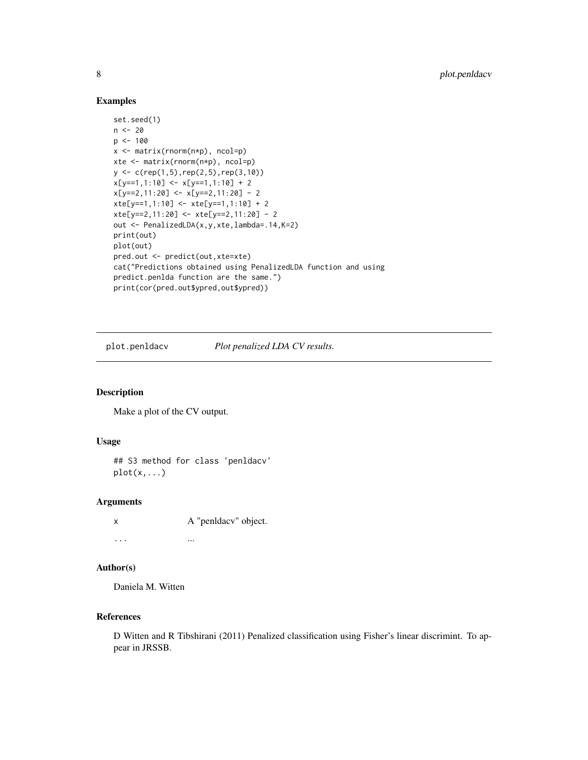#### Examples

```
set.seed(1)
n <- 20
p <- 100
x <- matrix(rnorm(n*p), ncol=p)
xte <- matrix(rnorm(n*p), ncol=p)
y \leftarrow c(rep(1,5),rep(2,5),rep(3,10))x[y==1,1:10] <- x[y==1,1:10] + 2
x[y==2,11:20] <- x[y==2,11:20] - 2
xte[y==1,1:10] <- xte[y==1,1:10] + 2
xte[y==2,11:20] <- xte[y==2,11:20] - 2
out <- PenalizedLDA(x,y,xte,lambda=.14,K=2)
print(out)
plot(out)
pred.out <- predict(out,xte=xte)
cat("Predictions obtained using PenalizedLDA function and using
predict.penlda function are the same.")
print(cor(pred.out$ypred,out$ypred))
```
plot.penldacv *Plot penalized LDA CV results.*

#### Description

Make a plot of the CV output.

#### Usage

## S3 method for class 'penldacv'  $plot(x,...)$ 

#### Arguments

x A "penldacv" object. ... ...

#### Author(s)

Daniela M. Witten

#### References

D Witten and R Tibshirani (2011) Penalized classification using Fisher's linear discrimint. To appear in JRSSB.

<span id="page-7-0"></span>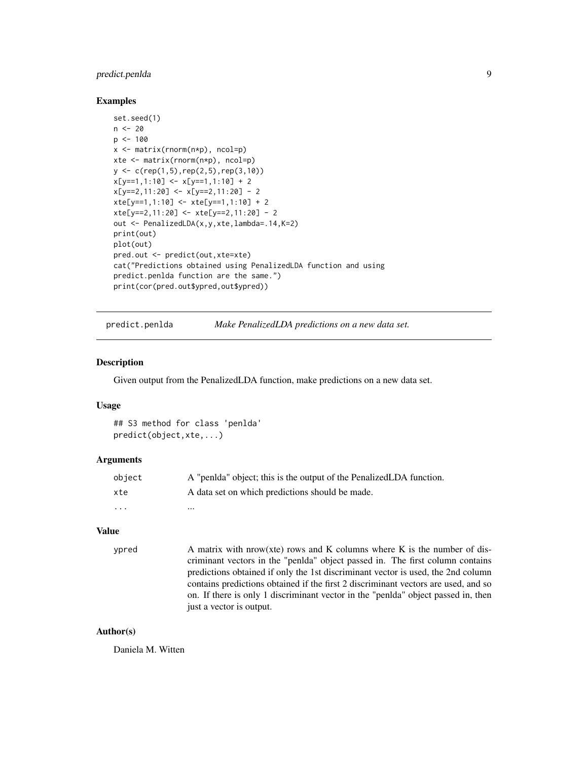#### <span id="page-8-0"></span>predict.penlda 9

#### Examples

```
set.seed(1)
n <- 20
p \le -100x \leftarrow \text{matrix}(rnorm(n*p), ncol=p)xte <- matrix(rnorm(n*p), ncol=p)
y <- c(rep(1,5),rep(2,5),rep(3,10))
x[y==1,1:10] < x[y==1,1:10] + 2x[y==2, 11:20] < -x[y==2, 11:20] - 2xte[y==1,1:10] <- xte[y==1,1:10] + 2
xte[y==2,11:20] <- xte[y==2,11:20] - 2
out <- PenalizedLDA(x,y,xte,lambda=.14,K=2)
print(out)
plot(out)
pred.out <- predict(out,xte=xte)
cat("Predictions obtained using PenalizedLDA function and using
predict.penlda function are the same.")
print(cor(pred.out$ypred,out$ypred))
```
predict.penlda *Make PenalizedLDA predictions on a new data set.*

#### **Description**

Given output from the PenalizedLDA function, make predictions on a new data set.

#### Usage

```
## S3 method for class 'penlda'
predict(object,xte,...)
```
#### Arguments

| object                  | A "penida" object; this is the output of the PenalizedLDA function. |
|-------------------------|---------------------------------------------------------------------|
| xte                     | A data set on which predictions should be made.                     |
| $\cdot$ $\cdot$ $\cdot$ | $\cdots$                                                            |

#### Value

ypred  $A$  matrix with nrow(xte) rows and K columns where K is the number of discriminant vectors in the "penlda" object passed in. The first column contains predictions obtained if only the 1st discriminant vector is used, the 2nd column contains predictions obtained if the first 2 discriminant vectors are used, and so on. If there is only 1 discriminant vector in the "penlda" object passed in, then just a vector is output.

#### Author(s)

Daniela M. Witten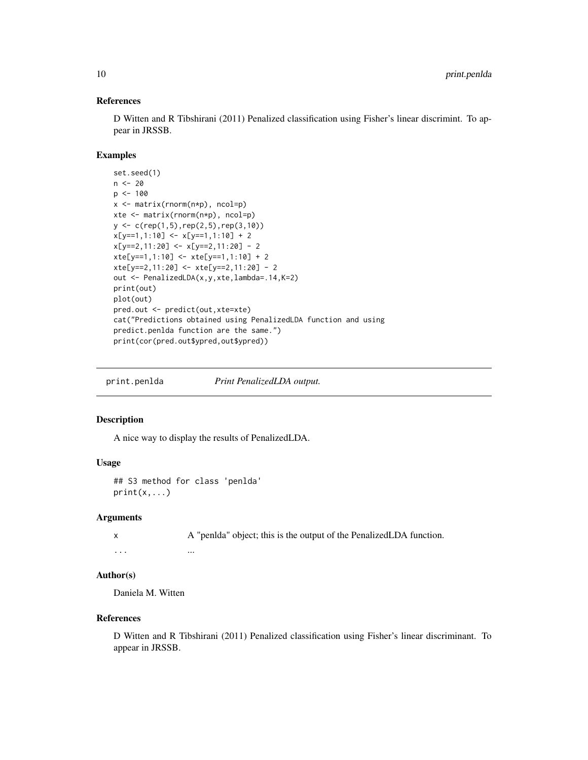#### References

D Witten and R Tibshirani (2011) Penalized classification using Fisher's linear discrimint. To appear in JRSSB.

#### Examples

```
set.seed(1)
n < - 20p \le -100x <- matrix(rnorm(n*p), ncol=p)
xte <- matrix(rnorm(n*p), ncol=p)
y \leftarrow c(rep(1,5),rep(2,5),rep(3,10))x[y==1,1:10] < -x[y==1,1:10] + 2x[y==2, 11:20] < -x[y==2, 11:20] - 2xte[y==1,1:10] <- xte[y==1,1:10] + 2
xte[y==2,11:20] <- xte[y==2,11:20] - 2
out <- PenalizedLDA(x,y,xte,lambda=.14,K=2)
print(out)
plot(out)
pred.out <- predict(out,xte=xte)
cat("Predictions obtained using PenalizedLDA function and using
predict.penlda function are the same.")
print(cor(pred.out$ypred,out$ypred))
```
print.penlda *Print PenalizedLDA output.*

#### Description

A nice way to display the results of PenalizedLDA.

#### Usage

## S3 method for class 'penlda'  $print(x, \ldots)$ 

#### Arguments

x A "penlda" object; this is the output of the PenalizedLDA function. ... ... ... ... ... ... ...

#### Author(s)

Daniela M. Witten

#### References

D Witten and R Tibshirani (2011) Penalized classification using Fisher's linear discriminant. To appear in JRSSB.

<span id="page-9-0"></span>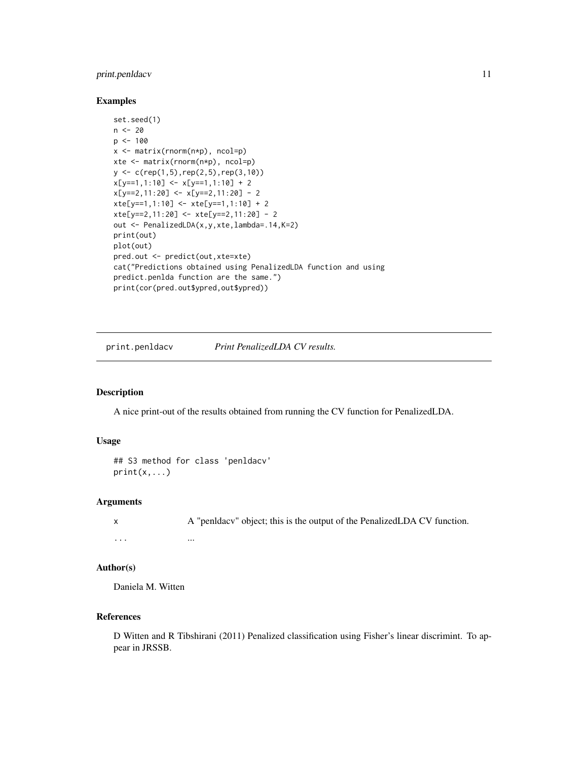#### <span id="page-10-0"></span>print.penldacv 11

#### Examples

```
set.seed(1)
n <- 20
p <- 100
x <- matrix(rnorm(n*p), ncol=p)
xte <- matrix(rnorm(n*p), ncol=p)
y \leftarrow c(rep(1,5),rep(2,5),rep(3,10))x[y==1,1:10] <- x[y==1,1:10] + 2
x[y==2,11:20] <- x[y==2,11:20] - 2
xte[y==1,1:10] <- xte[y==1,1:10] + 2
xte[y==2,11:20] <- xte[y==2,11:20] - 2
out <- PenalizedLDA(x,y,xte,lambda=.14,K=2)
print(out)
plot(out)
pred.out <- predict(out,xte=xte)
cat("Predictions obtained using PenalizedLDA function and using
predict.penlda function are the same.")
print(cor(pred.out$ypred,out$ypred))
```
print.penldacv *Print PenalizedLDA CV results.*

#### Description

A nice print-out of the results obtained from running the CV function for PenalizedLDA.

#### Usage

```
## S3 method for class 'penldacv'
print(x, \ldots)
```
#### Arguments

x A "penldacv" object; this is the output of the PenalizedLDA CV function. ... ...

#### Author(s)

Daniela M. Witten

#### References

D Witten and R Tibshirani (2011) Penalized classification using Fisher's linear discrimint. To appear in JRSSB.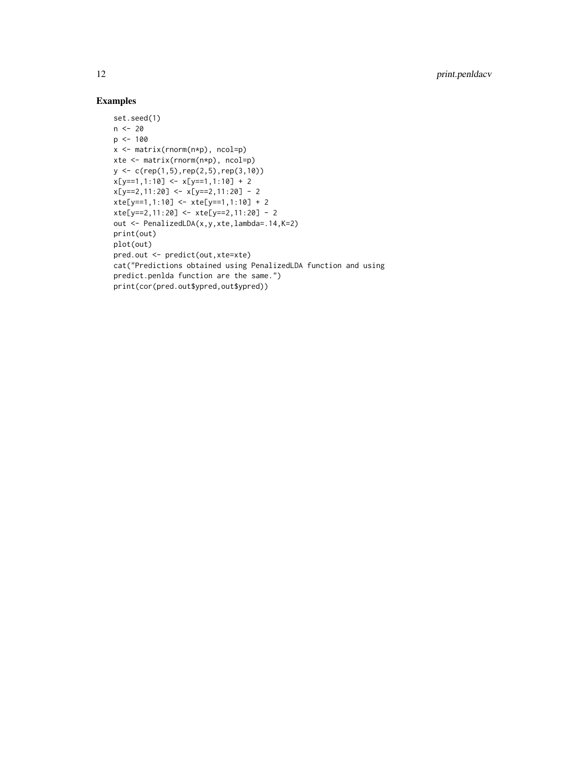```
set.seed(1)
n <- 20
p <- 100
x <- matrix(rnorm(n*p), ncol=p)
xte <- matrix(rnorm(n*p), ncol=p)
y <- c(rep(1,5),rep(2,5),rep(3,10))
x[y==1,1:10] <- x[y==1,1:10] + 2
x[y==2,11:20] <- x[y==2,11:20] - 2
xte[y==1,1:10] <- xte[y==1,1:10] + 2
xte[y==2,11:20] <- xte[y==2,11:20] - 2
out <- PenalizedLDA(x,y,xte,lambda=.14,K=2)
print(out)
plot(out)
pred.out <- predict(out,xte=xte)
cat("Predictions obtained using PenalizedLDA function and using
predict.penlda function are the same.")
print(cor(pred.out$ypred,out$ypred))
```